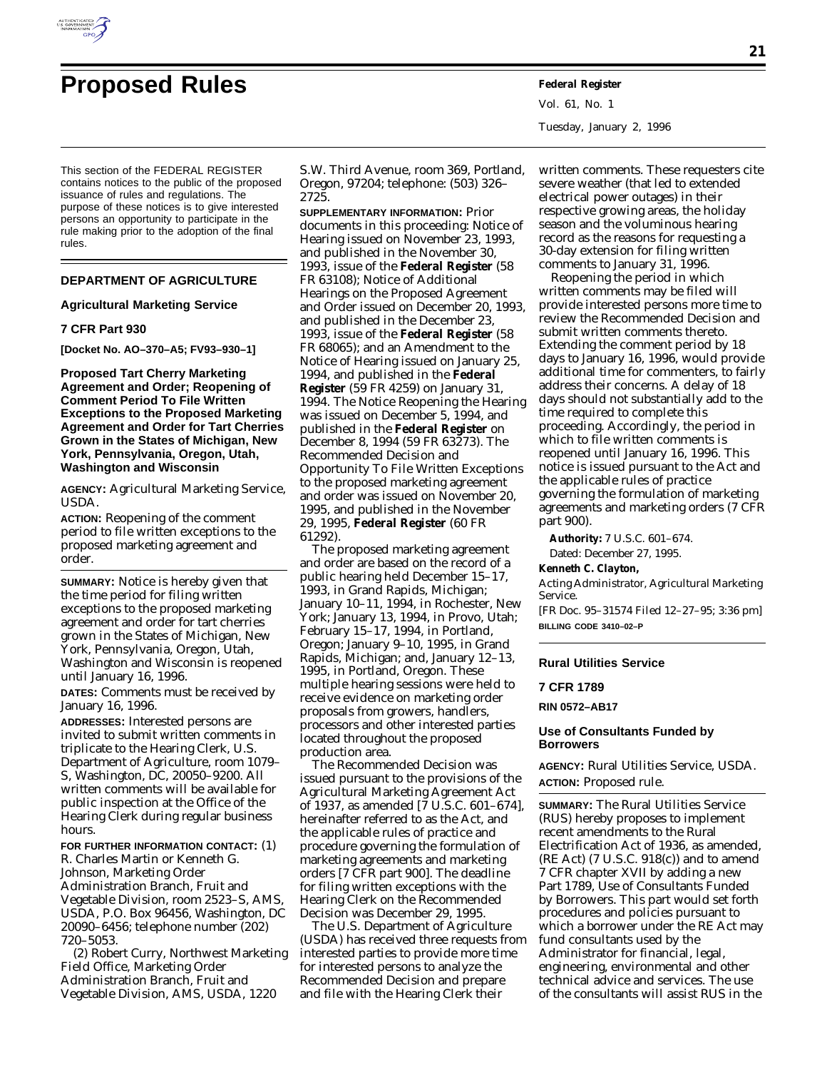

# **Proposed Rules Federal Register**

Vol. 61, No. 1 Tuesday, January 2, 1996

This section of the FEDERAL REGISTER contains notices to the public of the proposed issuance of rules and regulations. The purpose of these notices is to give interested persons an opportunity to participate in the rule making prior to the adoption of the final rules.

# **DEPARTMENT OF AGRICULTURE**

## **Agricultural Marketing Service**

## **7 CFR Part 930**

**[Docket No. AO–370–A5; FV93–930–1]**

**Proposed Tart Cherry Marketing Agreement and Order; Reopening of Comment Period To File Written Exceptions to the Proposed Marketing Agreement and Order for Tart Cherries Grown in the States of Michigan, New York, Pennsylvania, Oregon, Utah, Washington and Wisconsin**

**AGENCY:** Agricultural Marketing Service, USDA.

**ACTION:** Reopening of the comment period to file written exceptions to the proposed marketing agreement and order.

**SUMMARY:** Notice is hereby given that the time period for filing written exceptions to the proposed marketing agreement and order for tart cherries grown in the States of Michigan, New York, Pennsylvania, Oregon, Utah, Washington and Wisconsin is reopened until January 16, 1996.

**DATES:** Comments must be received by January 16, 1996.

**ADDRESSES:** Interested persons are invited to submit written comments in triplicate to the Hearing Clerk, U.S. Department of Agriculture, room 1079– S, Washington, DC, 20050–9200. All written comments will be available for public inspection at the Office of the Hearing Clerk during regular business hours.

**FOR FURTHER INFORMATION CONTACT:** (1) R. Charles Martin or Kenneth G. Johnson, Marketing Order Administration Branch, Fruit and Vegetable Division, room 2523–S, AMS, USDA, P.O. Box 96456, Washington, DC 20090–6456; telephone number (202) 720–5053.

(2) Robert Curry, Northwest Marketing Field Office, Marketing Order Administration Branch, Fruit and Vegetable Division, AMS, USDA, 1220

S.W. Third Avenue, room 369, Portland, Oregon, 97204; telephone: (503) 326– 2725.

**SUPPLEMENTARY INFORMATION:** Prior documents in this proceeding: Notice of Hearing issued on November 23, 1993, and published in the November 30, 1993, issue of the **Federal Register** (58 FR 63108); Notice of Additional Hearings on the Proposed Agreement and Order issued on December 20, 1993, and published in the December 23, 1993, issue of the **Federal Register** (58 FR 68065); and an Amendment to the Notice of Hearing issued on January 25, 1994, and published in the **Federal Register** (59 FR 4259) on January 31, 1994. The Notice Reopening the Hearing was issued on December 5, 1994, and published in the **Federal Register** on December 8, 1994 (59 FR 63273). The Recommended Decision and Opportunity To File Written Exceptions to the proposed marketing agreement and order was issued on November 20, 1995, and published in the November 29, 1995, **Federal Register** (60 FR 61292).

The proposed marketing agreement and order are based on the record of a public hearing held December 15–17, 1993, in Grand Rapids, Michigan; January 10–11, 1994, in Rochester, New York; January 13, 1994, in Provo, Utah; February 15–17, 1994, in Portland, Oregon; January 9–10, 1995, in Grand Rapids, Michigan; and, January 12–13, 1995, in Portland, Oregon. These multiple hearing sessions were held to receive evidence on marketing order proposals from growers, handlers, processors and other interested parties located throughout the proposed production area.

The Recommended Decision was issued pursuant to the provisions of the Agricultural Marketing Agreement Act of 1937, as amended [7 U.S.C. 601–674], hereinafter referred to as the Act, and the applicable rules of practice and procedure governing the formulation of marketing agreements and marketing orders [7 CFR part 900]. The deadline for filing written exceptions with the Hearing Clerk on the Recommended Decision was December 29, 1995.

The U.S. Department of Agriculture (USDA) has received three requests from interested parties to provide more time for interested persons to analyze the Recommended Decision and prepare and file with the Hearing Clerk their

written comments. These requesters cite severe weather (that led to extended electrical power outages) in their respective growing areas, the holiday season and the voluminous hearing record as the reasons for requesting a 30-day extension for filing written comments to January 31, 1996.

Reopening the period in which written comments may be filed will provide interested persons more time to review the Recommended Decision and submit written comments thereto. Extending the comment period by 18 days to January 16, 1996, would provide additional time for commenters, to fairly address their concerns. A delay of 18 days should not substantially add to the time required to complete this proceeding. Accordingly, the period in which to file written comments is reopened until January 16, 1996. This notice is issued pursuant to the Act and the applicable rules of practice governing the formulation of marketing agreements and marketing orders (7 CFR part 900).

**Authority:** 7 U.S.C. 601–674. Dated: December 27, 1995.

**Kenneth C. Clayton,**

*Acting Administrator, Agricultural Marketing Service.*

[FR Doc. 95–31574 Filed 12–27–95; 3:36 pm] **BILLING CODE 3410–02–P**

# **Rural Utilities Service**

**7 CFR 1789**

**RIN 0572–AB17**

## **Use of Consultants Funded by Borrowers**

**AGENCY:** Rural Utilities Service, USDA. **ACTION:** Proposed rule.

**SUMMARY:** The Rural Utilities Service (RUS) hereby proposes to implement recent amendments to the Rural Electrification Act of 1936, as amended,  $(RE Act)$   $(7 U.S.C. 918(c))$  and to amend 7 CFR chapter XVII by adding a new Part 1789, Use of Consultants Funded by Borrowers. This part would set forth procedures and policies pursuant to which a borrower under the RE Act may fund consultants used by the Administrator for financial, legal, engineering, environmental and other technical advice and services. The use of the consultants will assist RUS in the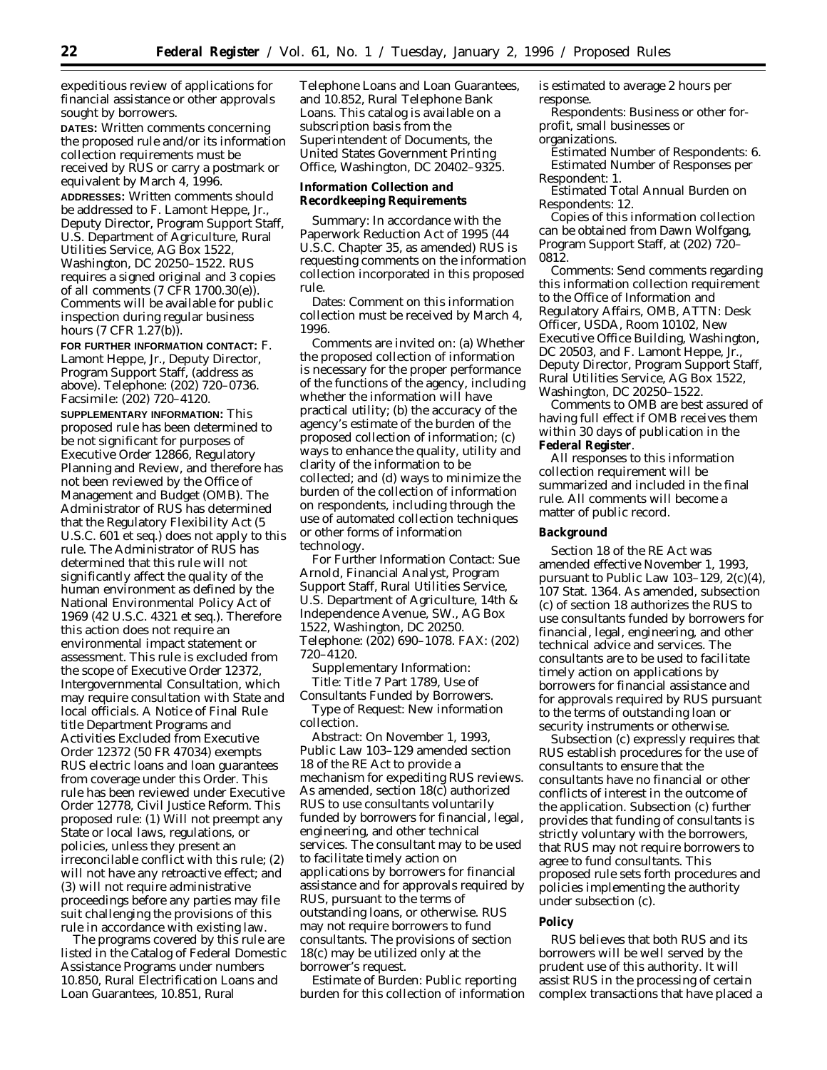expeditious review of applications for financial assistance or other approvals sought by borrowers.

**DATES:** Written comments concerning the proposed rule and/or its information collection requirements must be received by RUS or carry a postmark or equivalent by March 4, 1996.

**ADDRESSES:** Written comments should be addressed to F. Lamont Heppe, Jr., Deputy Director, Program Support Staff, U.S. Department of Agriculture, Rural Utilities Service, AG Box 1522, Washington, DC 20250–1522. RUS requires a signed original and 3 copies of all comments (7 CFR 1700.30(e)). Comments will be available for public inspection during regular business hours (7 CFR 1.27(b)).

**FOR FURTHER INFORMATION CONTACT:** F. Lamont Heppe, Jr., Deputy Director, Program Support Staff, (address as above). Telephone: (202) 720–0736. Facsimile: (202) 720–4120.

**SUPPLEMENTARY INFORMATION:** This proposed rule has been determined to be not significant for purposes of Executive Order 12866, Regulatory Planning and Review, and therefore has not been reviewed by the Office of Management and Budget (OMB). The Administrator of RUS has determined that the Regulatory Flexibility Act (5 U.S.C. 601 *et seq*.) does not apply to this rule. The Administrator of RUS has determined that this rule will not significantly affect the quality of the human environment as defined by the National Environmental Policy Act of 1969 (42 U.S.C. 4321 *et seq*.). Therefore this action does not require an environmental impact statement or assessment. This rule is excluded from the scope of Executive Order 12372, Intergovernmental Consultation, which may require consultation with State and local officials. A Notice of Final Rule title Department Programs and Activities Excluded from Executive Order 12372 (50 FR 47034) exempts RUS electric loans and loan guarantees from coverage under this Order. This rule has been reviewed under Executive Order 12778, Civil Justice Reform. This proposed rule: (1) Will not preempt any State or local laws, regulations, or policies, unless they present an irreconcilable conflict with this rule; (2) will not have any retroactive effect; and (3) will not require administrative proceedings before any parties may file suit challenging the provisions of this rule in accordance with existing law.

The programs covered by this rule are listed in the Catalog of Federal Domestic Assistance Programs under numbers 10.850, Rural Electrification Loans and Loan Guarantees, 10.851, Rural

Telephone Loans and Loan Guarantees, and 10.852, Rural Telephone Bank Loans. This catalog is available on a subscription basis from the Superintendent of Documents, the United States Government Printing Office, Washington, DC 20402–9325.

**Information Collection and Recordkeeping Requirements**

Summary: In accordance with the Paperwork Reduction Act of 1995 (44 U.S.C. Chapter 35, as amended) RUS is requesting comments on the information collection incorporated in this proposed rule.

Dates: Comment on this information collection must be received by March 4, 1996.

Comments are invited on: (a) Whether the proposed collection of information is necessary for the proper performance of the functions of the agency, including whether the information will have practical utility; (b) the accuracy of the agency's estimate of the burden of the proposed collection of information; (c) ways to enhance the quality, utility and clarity of the information to be collected; and (d) ways to minimize the burden of the collection of information on respondents, including through the use of automated collection techniques or other forms of information technology.

For Further Information Contact: Sue Arnold, Financial Analyst, Program Support Staff, Rural Utilities Service, U.S. Department of Agriculture, 14th & Independence Avenue, SW., AG Box 1522, Washington, DC 20250. Telephone: (202) 690–1078. FAX: (202) 720–4120.

Supplementary Information: *Title:* Title 7 Part 1789, Use of Consultants Funded by Borrowers.

*Type of Request:* New information collection.

*Abstract:* On November 1, 1993, Public Law 103–129 amended section 18 of the RE Act to provide a mechanism for expediting RUS reviews. As amended, section 18(c) authorized RUS to use consultants voluntarily funded by borrowers for financial, legal, engineering, and other technical services. The consultant may to be used to facilitate timely action on applications by borrowers for financial assistance and for approvals required by RUS, pursuant to the terms of outstanding loans, or otherwise. RUS may not require borrowers to fund consultants. The provisions of section 18(c) may be utilized only at the borrower's request.

*Estimate of Burden:* Public reporting burden for this collection of information is estimated to average 2 hours per response.

*Respondents:* Business or other forprofit, small businesses or

organizations.

*Estimated Number of Respondents:* 6. *Estimated Number of Responses per Respondent:* 1.

*Estimated Total Annual Burden on Respondents:* 12.

Copies of this information collection can be obtained from Dawn Wolfgang, Program Support Staff, at (202) 720– 0812.

Comments: Send comments regarding this information collection requirement to the Office of Information and Regulatory Affairs, OMB, ATTN: Desk Officer, USDA, Room 10102, New Executive Office Building, Washington, DC 20503, and F. Lamont Heppe, Jr., Deputy Director, Program Support Staff, Rural Utilities Service, AG Box 1522, Washington, DC 20250–1522.

Comments to OMB are best assured of having full effect if OMB receives them within 30 days of publication in the **Federal Register**.

All responses to this information collection requirement will be summarized and included in the final rule. All comments will become a matter of public record.

# **Background**

Section 18 of the RE Act was amended effective November 1, 1993, pursuant to Public Law 103–129, 2(c)(4), 107 Stat. 1364. As amended, subsection (c) of section 18 authorizes the RUS to use consultants funded by borrowers for financial, legal, engineering, and other technical advice and services. The consultants are to be used to facilitate timely action on applications by borrowers for financial assistance and for approvals required by RUS pursuant to the terms of outstanding loan or security instruments or otherwise.

Subsection (c) expressly requires that RUS establish procedures for the use of consultants to ensure that the consultants have no financial or other conflicts of interest in the outcome of the application. Subsection (c) further provides that funding of consultants is strictly voluntary with the borrowers, that RUS may not require borrowers to agree to fund consultants. This proposed rule sets forth procedures and policies implementing the authority under subsection (c).

#### **Policy**

RUS believes that both RUS and its borrowers will be well served by the prudent use of this authority. It will assist RUS in the processing of certain complex transactions that have placed a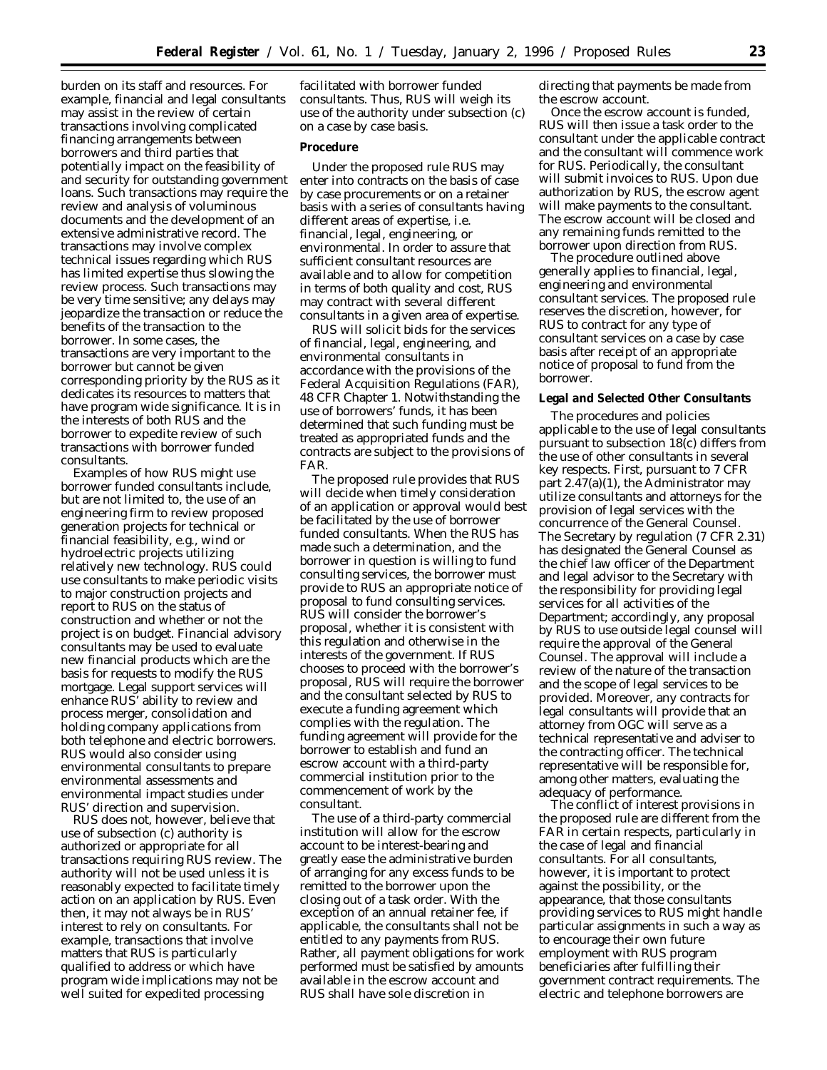burden on its staff and resources. For example, financial and legal consultants may assist in the review of certain transactions involving complicated financing arrangements between borrowers and third parties that potentially impact on the feasibility of and security for outstanding government loans. Such transactions may require the review and analysis of voluminous documents and the development of an extensive administrative record. The transactions may involve complex technical issues regarding which RUS has limited expertise thus slowing the review process. Such transactions may be very time sensitive; any delays may jeopardize the transaction or reduce the benefits of the transaction to the borrower. In some cases, the transactions are very important to the borrower but cannot be given corresponding priority by the RUS as it dedicates its resources to matters that have program wide significance. It is in the interests of both RUS and the borrower to expedite review of such transactions with borrower funded consultants.

Examples of how RUS might use borrower funded consultants include, but are not limited to, the use of an engineering firm to review proposed generation projects for technical or financial feasibility, e.g., wind or hydroelectric projects utilizing relatively new technology. RUS could use consultants to make periodic visits to major construction projects and report to RUS on the status of construction and whether or not the project is on budget. Financial advisory consultants may be used to evaluate new financial products which are the basis for requests to modify the RUS mortgage. Legal support services will enhance RUS' ability to review and process merger, consolidation and holding company applications from both telephone and electric borrowers. RUS would also consider using environmental consultants to prepare environmental assessments and environmental impact studies under RUS' direction and supervision.

RUS does not, however, believe that use of subsection (c) authority is authorized or appropriate for all transactions requiring RUS review. The authority will not be used unless it is reasonably expected to facilitate timely action on an application by RUS. Even then, it may not always be in RUS' interest to rely on consultants. For example, transactions that involve matters that RUS is particularly qualified to address or which have program wide implications may not be well suited for expedited processing

facilitated with borrower funded consultants. Thus, RUS will weigh its use of the authority under subsection (c) on a case by case basis.

#### **Procedure**

Under the proposed rule RUS may enter into contracts on the basis of case by case procurements or on a retainer basis with a series of consultants having different areas of expertise, i.e. financial, legal, engineering, or environmental. In order to assure that sufficient consultant resources are available and to allow for competition in terms of both quality and cost, RUS may contract with several different consultants in a given area of expertise.

RUS will solicit bids for the services of financial, legal, engineering, and environmental consultants in accordance with the provisions of the Federal Acquisition Regulations (FAR), 48 CFR Chapter 1. Notwithstanding the use of borrowers' funds, it has been determined that such funding must be treated as appropriated funds and the contracts are subject to the provisions of FAR.

The proposed rule provides that RUS will decide when timely consideration of an application or approval would best be facilitated by the use of borrower funded consultants. When the RUS has made such a determination, and the borrower in question is willing to fund consulting services, the borrower must provide to RUS an appropriate notice of proposal to fund consulting services. RUS will consider the borrower's proposal, whether it is consistent with this regulation and otherwise in the interests of the government. If RUS chooses to proceed with the borrower's proposal, RUS will require the borrower and the consultant selected by RUS to execute a funding agreement which complies with the regulation. The funding agreement will provide for the borrower to establish and fund an escrow account with a third-party commercial institution prior to the commencement of work by the consultant.

The use of a third-party commercial institution will allow for the escrow account to be interest-bearing and greatly ease the administrative burden of arranging for any excess funds to be remitted to the borrower upon the closing out of a task order. With the exception of an annual retainer fee, if applicable, the consultants shall not be entitled to any payments from RUS. Rather, all payment obligations for work performed must be satisfied by amounts available in the escrow account and RUS shall have sole discretion in

directing that payments be made from the escrow account.

Once the escrow account is funded, RUS will then issue a task order to the consultant under the applicable contract and the consultant will commence work for RUS. Periodically, the consultant will submit invoices to RUS. Upon due authorization by RUS, the escrow agent will make payments to the consultant. The escrow account will be closed and any remaining funds remitted to the borrower upon direction from RUS.

The procedure outlined above generally applies to financial, legal, engineering and environmental consultant services. The proposed rule reserves the discretion, however, for RUS to contract for any type of consultant services on a case by case basis after receipt of an appropriate notice of proposal to fund from the borrower.

#### **Legal and Selected Other Consultants**

The procedures and policies applicable to the use of legal consultants pursuant to subsection 18(c) differs from the use of other consultants in several key respects. First, pursuant to 7 CFR part 2.47(a)(1), the Administrator may utilize consultants and attorneys for the provision of legal services with the concurrence of the General Counsel. The Secretary by regulation (7 CFR 2.31) has designated the General Counsel as the chief law officer of the Department and legal advisor to the Secretary with the responsibility for providing legal services for all activities of the Department; accordingly, any proposal by RUS to use outside legal counsel will require the approval of the General Counsel. The approval will include a review of the nature of the transaction and the scope of legal services to be provided. Moreover, any contracts for legal consultants will provide that an attorney from OGC will serve as a technical representative and adviser to the contracting officer. The technical representative will be responsible for, among other matters, evaluating the adequacy of performance.

The conflict of interest provisions in the proposed rule are different from the FAR in certain respects, particularly in the case of legal and financial consultants. For all consultants, however, it is important to protect against the possibility, or the appearance, that those consultants providing services to RUS might handle particular assignments in such a way as to encourage their own future employment with RUS program beneficiaries after fulfilling their government contract requirements. The electric and telephone borrowers are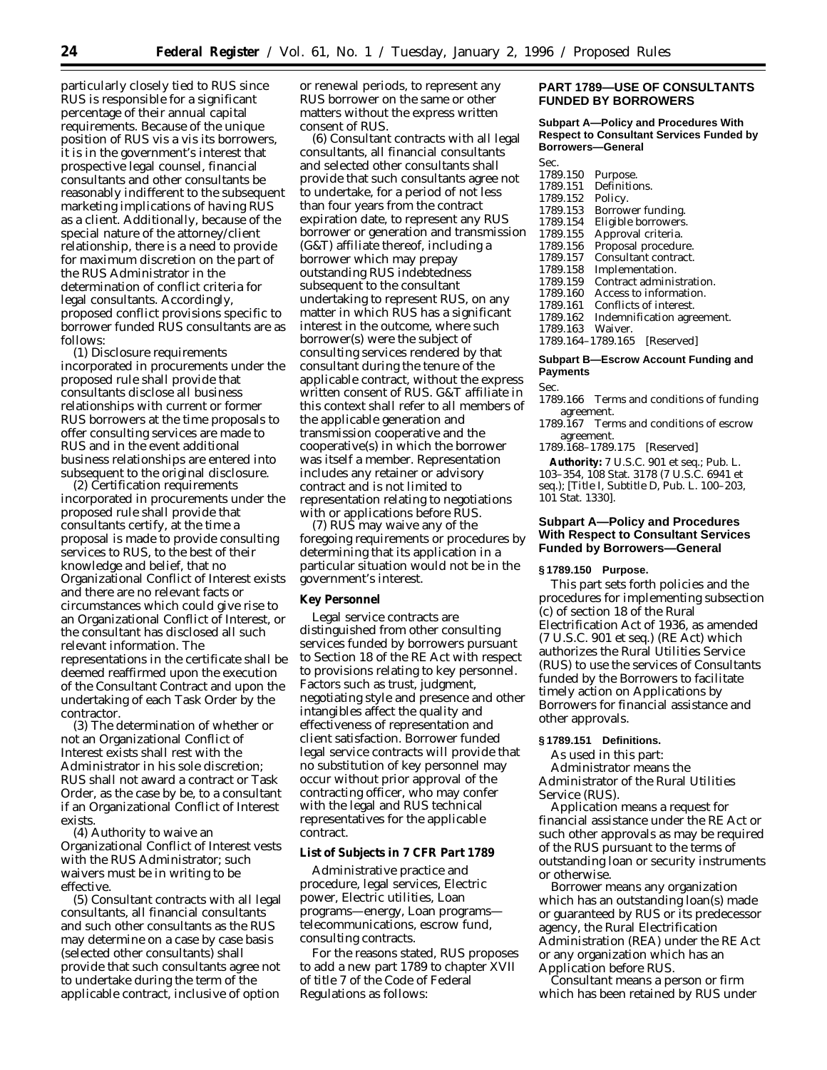particularly closely tied to RUS since RUS is responsible for a significant percentage of their annual capital requirements. Because of the unique position of RUS vis a vis its borrowers, it is in the government's interest that prospective legal counsel, financial consultants and other consultants be reasonably indifferent to the subsequent marketing implications of having RUS as a client. Additionally, because of the special nature of the attorney/client relationship, there is a need to provide for maximum discretion on the part of the RUS Administrator in the determination of conflict criteria for legal consultants. Accordingly, proposed conflict provisions specific to borrower funded RUS consultants are as follows:

(1) Disclosure requirements incorporated in procurements under the proposed rule shall provide that consultants disclose all business relationships with current or former RUS borrowers at the time proposals to offer consulting services are made to RUS and in the event additional business relationships are entered into subsequent to the original disclosure.

(2) Certification requirements incorporated in procurements under the proposed rule shall provide that consultants certify, at the time a proposal is made to provide consulting services to RUS, to the best of their knowledge and belief, that no Organizational Conflict of Interest exists and there are no relevant facts or circumstances which could give rise to an Organizational Conflict of Interest, or the consultant has disclosed all such relevant information. The representations in the certificate shall be deemed reaffirmed upon the execution of the Consultant Contract and upon the undertaking of each Task Order by the contractor.

(3) The determination of whether or not an Organizational Conflict of Interest exists shall rest with the Administrator in his sole discretion; RUS shall not award a contract or Task Order, as the case by be, to a consultant if an Organizational Conflict of Interest exists.

(4) Authority to waive an Organizational Conflict of Interest vests with the RUS Administrator; such waivers must be in writing to be effective.

(5) Consultant contracts with all legal consultants, all financial consultants and such other consultants as the RUS may determine on a case by case basis (selected other consultants) shall provide that such consultants agree not to undertake during the term of the applicable contract, inclusive of option

or renewal periods, to represent any RUS borrower on the same or other matters without the express written consent of RUS.

(6) Consultant contracts with all legal consultants, all financial consultants and selected other consultants shall provide that such consultants agree not to undertake, for a period of not less than four years from the contract expiration date, to represent any RUS borrower or generation and transmission (G&T) affiliate thereof, including a borrower which may prepay outstanding RUS indebtedness subsequent to the consultant undertaking to represent RUS, on any matter in which RUS has a significant interest in the outcome, where such borrower(s) were the subject of consulting services rendered by that consultant during the tenure of the applicable contract, without the express written consent of RUS. *G&T affiliate* in this context shall refer to all members of the applicable generation and transmission cooperative and the cooperative(s) in which the borrower was itself a member. Representation includes any retainer or advisory contract and is not limited to representation relating to negotiations with or applications before RUS.

(7) RUS may waive any of the foregoing requirements or procedures by determining that its application in a particular situation would not be in the government's interest.

#### **Key Personnel**

Legal service contracts are distinguished from other consulting services funded by borrowers pursuant to Section 18 of the RE Act with respect to provisions relating to key personnel. Factors such as trust, judgment, negotiating style and presence and other intangibles affect the quality and effectiveness of representation and client satisfaction. Borrower funded legal service contracts will provide that no substitution of key personnel may occur without prior approval of the contracting officer, who may confer with the legal and RUS technical representatives for the applicable contract.

# **List of Subjects in 7 CFR Part 1789**

Administrative practice and procedure, legal services, Electric power, Electric utilities, Loan programs—energy, Loan programs telecommunications, escrow fund, consulting contracts.

For the reasons stated, RUS proposes to add a new part 1789 to chapter XVII of title 7 of the Code of Federal Regulations as follows:

# **PART 1789—USE OF CONSULTANTS FUNDED BY BORROWERS**

**Subpart A—Policy and Procedures With Respect to Consultant Services Funded by Borrowers—General**

| Sec.              |                            |
|-------------------|----------------------------|
| 1789.150          | Purpose.                   |
| 1789.151          | Definitions.               |
| 1789.152          | Policy.                    |
| 1789.153          | Borrower funding.          |
| 1789.154          | Eligible borrowers.        |
| 1789.155          | Approval criteria.         |
| 1789.156          | Proposal procedure.        |
| 1789.157          | Consultant contract.       |
| 1789.158          | Implementation.            |
| 1789.159          | Contract administration.   |
| 1789.160          | Access to information.     |
| 1789.161          | Conflicts of interest.     |
| 1789.162          | Indemnification agreement. |
| 1789.163          | Waiver.                    |
| 1789.164-1789.165 | Reserved                   |

#### **Subpart B—Escrow Account Funding and Payments**

Sec.

1789.166 Terms and conditions of funding agreement.

1789.167 Terms and conditions of escrow agreement.

1789.168–1789.175 [Reserved]

**Authority:** 7 U.S.C. 901 et seq.; Pub. L. 103–354, 108 Stat. 3178 (7 U.S.C. 6941 *et seq.*); [Title I, Subtitle D, Pub. L. 100–203, 101 Stat. 1330].

## **Subpart A—Policy and Procedures With Respect to Consultant Services Funded by Borrowers—General**

## **§ 1789.150 Purpose.**

This part sets forth policies and the procedures for implementing subsection (c) of section 18 of the Rural Electrification Act of 1936, as amended (7 U.S.C. 901 et seq.) (RE Act) which authorizes the Rural Utilities Service (RUS) to use the services of Consultants funded by the Borrowers to facilitate timely action on Applications by Borrowers for financial assistance and other approvals.

## **§ 1789.151 Definitions.**

As used in this part: *Administrator* means the Administrator of the Rural Utilities Service (RUS).

*Application* means a request for financial assistance under the RE Act or such other approvals as may be required of the RUS pursuant to the terms of outstanding loan or security instruments or otherwise.

*Borrower* means any organization which has an outstanding loan(s) made or guaranteed by RUS or its predecessor agency, the Rural Electrification Administration (REA) under the RE Act or any organization which has an Application before RUS.

*Consultant* means a person or firm which has been retained by RUS under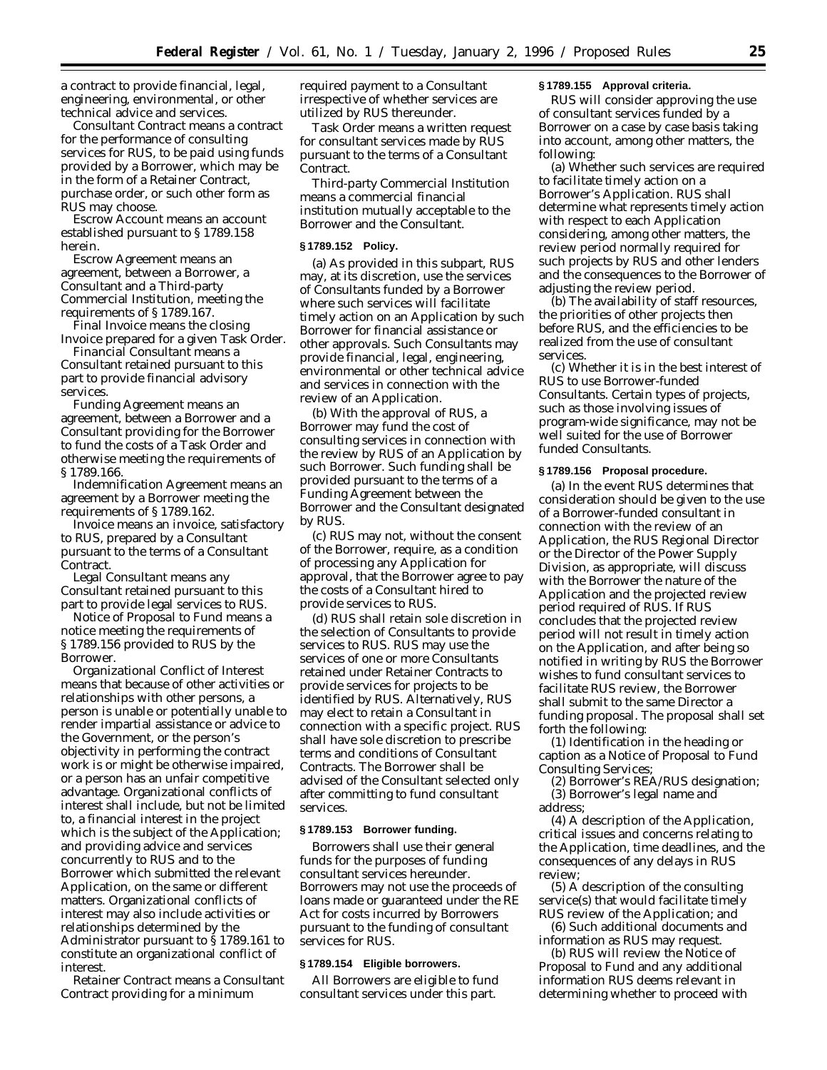a contract to provide financial, legal, engineering, environmental, or other technical advice and services.

*Consultant Contract* means a contract for the performance of consulting services for RUS, to be paid using funds provided by a Borrower, which may be in the form of a Retainer Contract, purchase order, or such other form as RUS may choose.

*Escrow Account* means an account established pursuant to § 1789.158 herein.

*Escrow Agreement* means an agreement, between a Borrower, a Consultant and a Third-party Commercial Institution, meeting the requirements of § 1789.167.

*Final Invoice* means the closing Invoice prepared for a given Task Order.

*Financial Consultant* means a Consultant retained pursuant to this part to provide financial advisory services.

*Funding Agreement* means an agreement, between a Borrower and a Consultant providing for the Borrower to fund the costs of a Task Order and otherwise meeting the requirements of § 1789.166.

*Indemnification Agreement* means an agreement by a Borrower meeting the requirements of § 1789.162.

*Invoice* means an invoice, satisfactory to RUS, prepared by a Consultant pursuant to the terms of a Consultant Contract.

*Legal Consultant* means any Consultant retained pursuant to this part to provide legal services to RUS.

*Notice of Proposal to Fund* means a notice meeting the requirements of § 1789.156 provided to RUS by the Borrower.

*Organizational Conflict of Interest* means that because of other activities or relationships with other persons, a person is unable or potentially unable to render impartial assistance or advice to the Government, or the person's objectivity in performing the contract work is or might be otherwise impaired, or a person has an unfair competitive advantage. Organizational conflicts of interest shall include, but not be limited to, a financial interest in the project which is the subject of the Application; and providing advice and services concurrently to RUS and to the Borrower which submitted the relevant Application, on the same or different matters. Organizational conflicts of interest may also include activities or relationships determined by the Administrator pursuant to § 1789.161 to constitute an organizational conflict of interest.

*Retainer Contract* means a Consultant Contract providing for a minimum

required payment to a Consultant irrespective of whether services are utilized by RUS thereunder.

*Task Order* means a written request for consultant services made by RUS pursuant to the terms of a Consultant Contract.

*Third-party Commercial Institution* means a commercial financial institution mutually acceptable to the Borrower and the Consultant.

## **§ 1789.152 Policy.**

(a) As provided in this subpart, RUS may, at its discretion, use the services of Consultants funded by a Borrower where such services will facilitate timely action on an Application by such Borrower for financial assistance or other approvals. Such Consultants may provide financial, legal, engineering, environmental or other technical advice and services in connection with the review of an Application.

(b) With the approval of RUS, a Borrower may fund the cost of consulting services in connection with the review by RUS of an Application by such Borrower. Such funding shall be provided pursuant to the terms of a Funding Agreement between the Borrower and the Consultant designated by RUS.

(c) RUS may not, without the consent of the Borrower, require, as a condition of processing any Application for approval, that the Borrower agree to pay the costs of a Consultant hired to provide services to RUS.

(d) RUS shall retain sole discretion in the selection of Consultants to provide services to RUS. RUS may use the services of one or more Consultants retained under Retainer Contracts to provide services for projects to be identified by RUS. Alternatively, RUS may elect to retain a Consultant in connection with a specific project. RUS shall have sole discretion to prescribe terms and conditions of Consultant Contracts. The Borrower shall be advised of the Consultant selected only after committing to fund consultant services.

#### **§ 1789.153 Borrower funding.**

Borrowers shall use their general funds for the purposes of funding consultant services hereunder. Borrowers may not use the proceeds of loans made or guaranteed under the RE Act for costs incurred by Borrowers pursuant to the funding of consultant services for RUS.

#### **§ 1789.154 Eligible borrowers.**

All Borrowers are eligible to fund consultant services under this part.

#### **§ 1789.155 Approval criteria.**

RUS will consider approving the use of consultant services funded by a Borrower on a case by case basis taking into account, among other matters, the following:

(a) Whether such services are required to facilitate timely action on a Borrower's Application. RUS shall determine what represents timely action with respect to each Application considering, among other matters, the review period normally required for such projects by RUS and other lenders and the consequences to the Borrower of adjusting the review period.

(b) The availability of staff resources, the priorities of other projects then before RUS, and the efficiencies to be realized from the use of consultant services.

(c) Whether it is in the best interest of RUS to use Borrower-funded Consultants. Certain types of projects, such as those involving issues of program-wide significance, may not be well suited for the use of Borrower funded Consultants.

#### **§ 1789.156 Proposal procedure.**

(a) In the event RUS determines that consideration should be given to the use of a Borrower-funded consultant in connection with the review of an Application, the RUS Regional Director or the Director of the Power Supply Division, as appropriate, will discuss with the Borrower the nature of the Application and the projected review period required of RUS. If RUS concludes that the projected review period will not result in timely action on the Application, and after being so notified in writing by RUS the Borrower wishes to fund consultant services to facilitate RUS review, the Borrower shall submit to the same Director a funding proposal. The proposal shall set forth the following:

(1) Identification in the heading or caption as a Notice of Proposal to Fund Consulting Services;

(2) Borrower's REA/RUS designation; (3) Borrower's legal name and

address;

(4) A description of the Application, critical issues and concerns relating to the Application, time deadlines, and the consequences of any delays in RUS review;

(5) A description of the consulting service(s) that would facilitate timely RUS review of the Application; and

(6) Such additional documents and information as RUS may request.

(b) RUS will review the Notice of Proposal to Fund and any additional information RUS deems relevant in determining whether to proceed with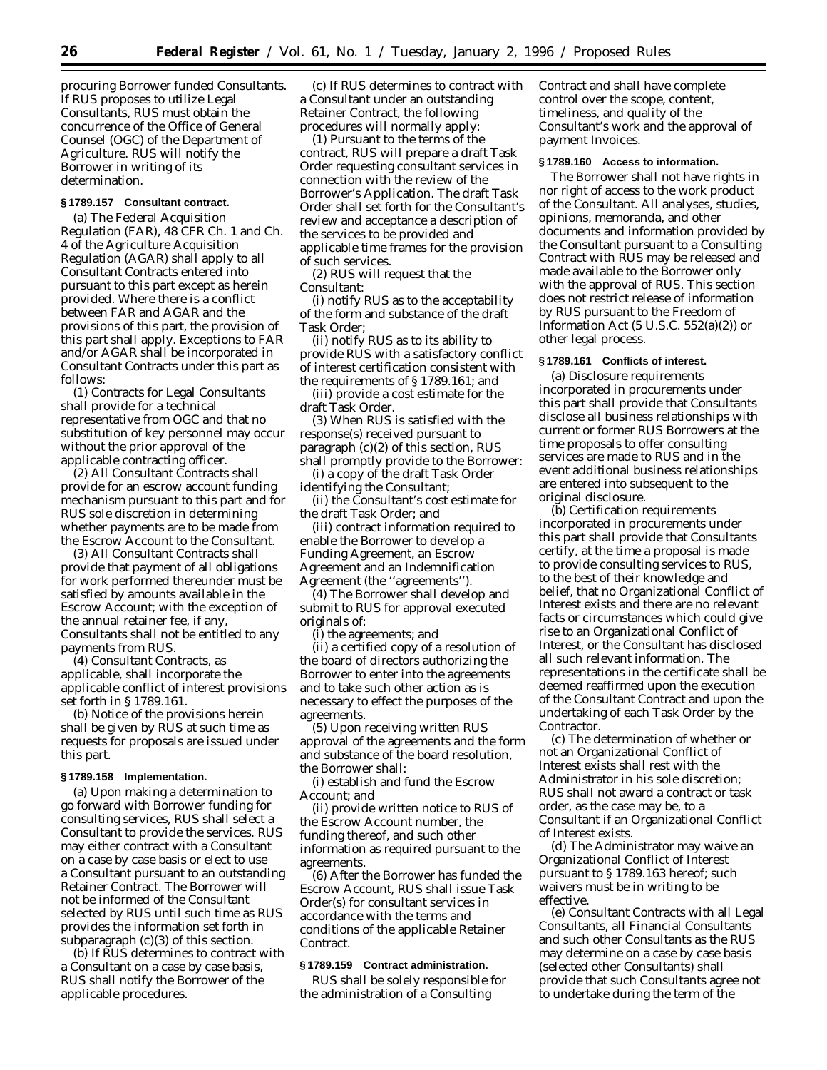procuring Borrower funded Consultants. If RUS proposes to utilize Legal Consultants, RUS must obtain the concurrence of the Office of General Counsel (OGC) of the Department of Agriculture. RUS will notify the Borrower in writing of its determination.

# **§ 1789.157 Consultant contract.**

(a) The Federal Acquisition Regulation (FAR), 48 CFR Ch. 1 and Ch. 4 of the Agriculture Acquisition Regulation (AGAR) shall apply to all Consultant Contracts entered into pursuant to this part except as herein provided. Where there is a conflict between FAR and AGAR and the provisions of this part, the provision of this part shall apply. Exceptions to FAR and/or AGAR shall be incorporated in Consultant Contracts under this part as follows:

(1) Contracts for Legal Consultants shall provide for a technical representative from OGC and that no substitution of key personnel may occur without the prior approval of the applicable contracting officer.

(2) All Consultant Contracts shall provide for an escrow account funding mechanism pursuant to this part and for RUS sole discretion in determining whether payments are to be made from the Escrow Account to the Consultant.

(3) All Consultant Contracts shall provide that payment of all obligations for work performed thereunder must be satisfied by amounts available in the Escrow Account; with the exception of the annual retainer fee, if any, Consultants shall not be entitled to any payments from RUS.

(4) Consultant Contracts, as applicable, shall incorporate the applicable conflict of interest provisions set forth in § 1789.161.

(b) Notice of the provisions herein shall be given by RUS at such time as requests for proposals are issued under this part.

## **§ 1789.158 Implementation.**

(a) Upon making a determination to go forward with Borrower funding for consulting services, RUS shall select a Consultant to provide the services. RUS may either contract with a Consultant on a case by case basis or elect to use a Consultant pursuant to an outstanding Retainer Contract. The Borrower will not be informed of the Consultant selected by RUS until such time as RUS provides the information set forth in subparagraph (c)(3) of this section.

(b) If RUS determines to contract with a Consultant on a case by case basis, RUS shall notify the Borrower of the applicable procedures.

(c) If RUS determines to contract with a Consultant under an outstanding Retainer Contract, the following procedures will normally apply:

(1) Pursuant to the terms of the contract, RUS will prepare a draft Task Order requesting consultant services in connection with the review of the Borrower's Application. The draft Task Order shall set forth for the Consultant's review and acceptance a description of the services to be provided and applicable time frames for the provision of such services.

(2) RUS will request that the Consultant:

(i) notify RUS as to the acceptability of the form and substance of the draft Task Order;

(ii) notify RUS as to its ability to provide RUS with a satisfactory conflict of interest certification consistent with the requirements of § 1789.161; and

(iii) provide a cost estimate for the draft Task Order.

(3) When RUS is satisfied with the response(s) received pursuant to paragraph (c)(2) of this section, RUS shall promptly provide to the Borrower:

(i) a copy of the draft Task Order identifying the Consultant;

(ii) the Consultant's cost estimate for the draft Task Order; and

(iii) contract information required to enable the Borrower to develop a Funding Agreement, an Escrow Agreement and an Indemnification Agreement (the ''agreements'').

(4) The Borrower shall develop and submit to RUS for approval executed originals of:

(i) the agreements; and

(ii) a certified copy of a resolution of the board of directors authorizing the Borrower to enter into the agreements and to take such other action as is necessary to effect the purposes of the agreements.

(5) Upon receiving written RUS approval of the agreements and the form and substance of the board resolution, the Borrower shall:

(i) establish and fund the Escrow Account; and

(ii) provide written notice to RUS of the Escrow Account number, the funding thereof, and such other information as required pursuant to the agreements.

(6) After the Borrower has funded the Escrow Account, RUS shall issue Task Order(s) for consultant services in accordance with the terms and conditions of the applicable Retainer Contract.

#### **§ 1789.159 Contract administration.**

RUS shall be solely responsible for the administration of a Consulting

Contract and shall have complete control over the scope, content, timeliness, and quality of the Consultant's work and the approval of payment Invoices.

#### **§ 1789.160 Access to information.**

The Borrower shall not have rights in nor right of access to the work product of the Consultant. All analyses, studies, opinions, memoranda, and other documents and information provided by the Consultant pursuant to a Consulting Contract with RUS may be released and made available to the Borrower only with the approval of RUS. This section does not restrict release of information by RUS pursuant to the Freedom of Information Act  $(5 \text{ U.S.C. } 552(a)(2))$  or other legal process.

# **§ 1789.161 Conflicts of interest.**

(a) Disclosure requirements incorporated in procurements under this part shall provide that Consultants disclose all business relationships with current or former RUS Borrowers at the time proposals to offer consulting services are made to RUS and in the event additional business relationships are entered into subsequent to the original disclosure.

(b) Certification requirements incorporated in procurements under this part shall provide that Consultants certify, at the time a proposal is made to provide consulting services to RUS, to the best of their knowledge and belief, that no Organizational Conflict of Interest exists and there are no relevant facts or circumstances which could give rise to an Organizational Conflict of Interest, or the Consultant has disclosed all such relevant information. The representations in the certificate shall be deemed reaffirmed upon the execution of the Consultant Contract and upon the undertaking of each Task Order by the Contractor.

(c) The determination of whether or not an Organizational Conflict of Interest exists shall rest with the Administrator in his sole discretion; RUS shall not award a contract or task order, as the case may be, to a Consultant if an Organizational Conflict of Interest exists.

(d) The Administrator may waive an Organizational Conflict of Interest pursuant to § 1789.163 hereof; such waivers must be in writing to be effective.

(e) Consultant Contracts with all Legal Consultants, all Financial Consultants and such other Consultants as the RUS may determine on a case by case basis (selected other Consultants) shall provide that such Consultants agree not to undertake during the term of the